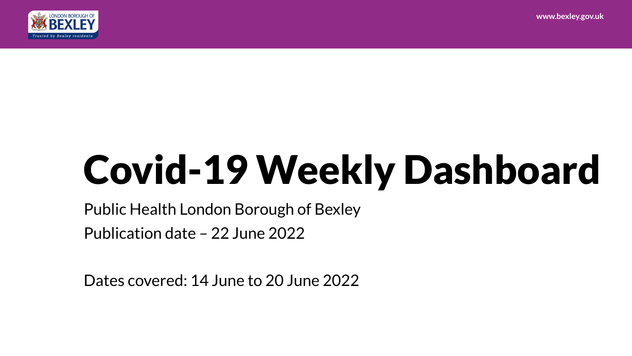**www.bexley.gov.uk**



# Covid-19 Weekly Dashboard

Public Health London Borough of Bexley Publication date – 22 June 2022

Dates covered: 14 June to 20 June 2022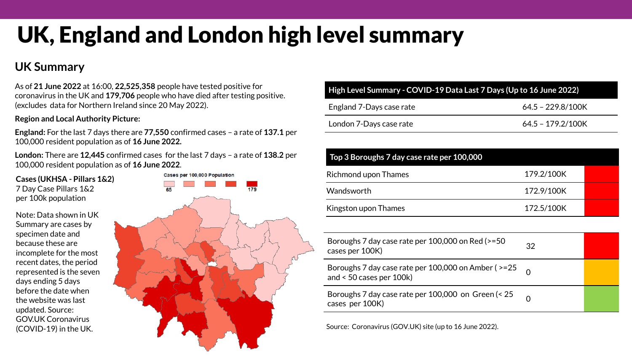# UK, England and London high level summary

### **UK Summary**

As of **21 June 2022** at 16:00, **22,525,358** people have tested positive for coronavirus in the UK and **179,706** people who have died after testing positive. (excludes data for Northern Ireland since 20 May 2022).

#### **Region and Local Authority Picture:**

**England:** For the last 7 days there are **77,550** confirmed cases – a rate of **137.1** per 100,000 resident population as of **16 June 2022.** 

**London:** There are **12,445** confirmed cases for the last 7 days – a rate of **138.2** per 100,000 resident population as of **16 June 2022**.

**Cases (UKHSA - Pillars 1&2)** 7 Day Case Pillars 1&2 per 100k population

Note: Data shown in UK Summary are cases by specimen date and because these are incomplete for the most recent dates, the period represented is the seven days ending 5 days before the date when the website was last updated. Source: GOV.UK Coronavirus (COVID-19) in the UK.



| High Level Summary - COVID-19 Data Last 7 Days (Up to 16 June 2022) |                   |  |  |  |
|---------------------------------------------------------------------|-------------------|--|--|--|
| England 7-Days case rate                                            | 64.5 - 229.8/100K |  |  |  |
| London 7-Days case rate                                             | 64.5 - 179.2/100K |  |  |  |

| Top 3 Boroughs 7 day case rate per 100,000 |            |  |  |  |  |
|--------------------------------------------|------------|--|--|--|--|
| Richmond upon Thames                       | 179.2/100K |  |  |  |  |
| Wandsworth                                 | 172.9/100K |  |  |  |  |
| Kingston upon Thames                       | 172.5/100K |  |  |  |  |

| Boroughs 7 day case rate per 100,000 on Red (>=50<br>cases per 100K)                     | 32 |  |
|------------------------------------------------------------------------------------------|----|--|
| Boroughs 7 day case rate per 100,000 on Amber ( $>= 25$<br>and $< 50$ cases per $100k$ ) |    |  |
| Boroughs 7 day case rate per 100,000 on Green (< 25<br>cases per 100K)                   |    |  |

Source: Coronavirus (GOV.UK) site (up to 16 June 2022).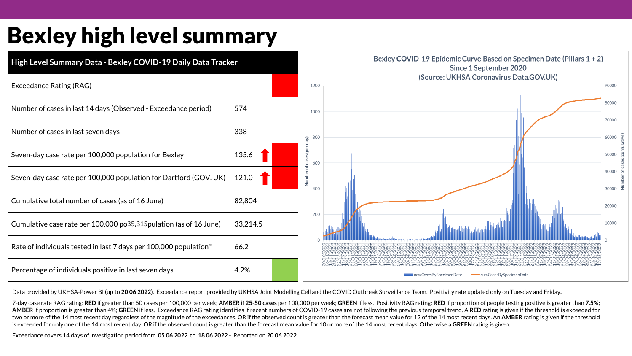### Bexley high level summary



Data provided by UKHSA-Power BI (up to **20 06 2022**). Exceedance report provided by UKHSA Joint Modelling Cell and the COVID Outbreak Surveillance Team. Positivity rate updated only on Tuesday and Friday**.** 

7-day case rate RAG rating: RED if greater than 50 cases per 100,000 per week; AMBER if 25-50 cases per 100,000 per week; GREEN if less. Positivity RAG rating: RED if proportion of people testing positive is greater than 7 AMBER if proportion is greater than 4%; GREEN if less. Exceedance RAG rating identifies if recent numbers of COVID-19 cases are not following the previous temporal trend. A RED rating is given if the threshold is exceeded two or more of the 14 most recent day regardless of the magnitude of the exceedances, OR if the observed count is greater than the forecast mean value for 12 of the 14 most recent days. An AMBER rating is given if the thre is exceeded for only one of the 14 most recent day, OR if the observed count is greater than the forecast mean value for 10 or more of the 14 most recent days. Otherwise a **GREEN** rating is given.

Exceedance covers 14 days of investigation period from **05 06 2022** to **18 06 2022** - Reported on **20 06 2022**.